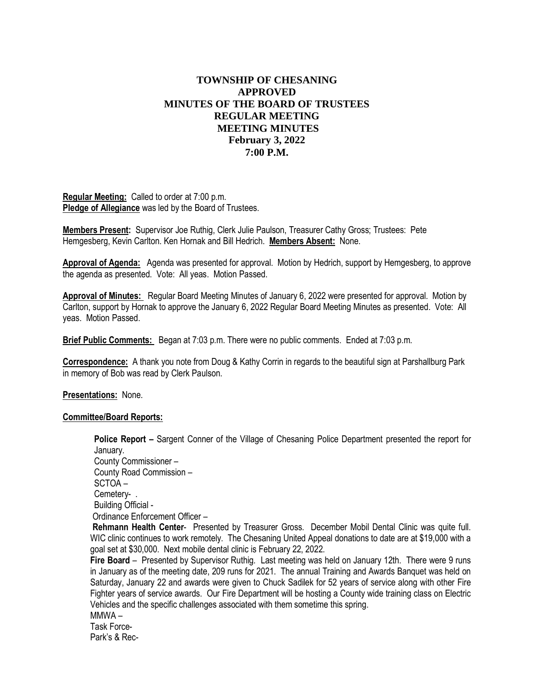# **TOWNSHIP OF CHESANING APPROVED MINUTES OF THE BOARD OF TRUSTEES REGULAR MEETING MEETING MINUTES February 3, 2022 7:00 P.M.**

**Regular Meeting:** Called to order at 7:00 p.m. **Pledge of Allegiance** was led by the Board of Trustees.

**Members Present:** Supervisor Joe Ruthig, Clerk Julie Paulson, Treasurer Cathy Gross; Trustees: Pete Hemgesberg, Kevin Carlton. Ken Hornak and Bill Hedrich. **Members Absent:** None.

**Approval of Agenda:** Agenda was presented for approval. Motion by Hedrich, support by Hemgesberg, to approve the agenda as presented. Vote: All yeas. Motion Passed.

**Approval of Minutes:** Regular Board Meeting Minutes of January 6, 2022 were presented for approval. Motion by Carlton, support by Hornak to approve the January 6, 2022 Regular Board Meeting Minutes as presented. Vote: All yeas. Motion Passed.

**Brief Public Comments:** Began at 7:03 p.m. There were no public comments. Ended at 7:03 p.m.

**Correspondence:** A thank you note from Doug & Kathy Corrin in regards to the beautiful sign at Parshallburg Park in memory of Bob was read by Clerk Paulson.

**Presentations:** None.

#### **Committee/Board Reports:**

**Police Report –** Sargent Conner of the Village of Chesaning Police Department presented the report for January. County Commissioner – County Road Commission – SCTOA – Cemetery-.

Building Official - Ordinance Enforcement Officer –

**Rehmann Health Center**-Presented by Treasurer Gross. December Mobil Dental Clinic was quite full. WIC clinic continues to work remotely. The Chesaning United Appeal donations to date are at \$19,000 with a goal set at \$30,000. Next mobile dental clinic is February 22, 2022.

**Fire Board** – Presented by Supervisor Ruthig. Last meeting was held on January 12th. There were 9 runs in January as of the meeting date, 209 runs for 2021. The annual Training and Awards Banquet was held on Saturday, January 22 and awards were given to Chuck Sadilek for 52 years of service along with other Fire Fighter years of service awards. Our Fire Department will be hosting a County wide training class on Electric Vehicles and the specific challenges associated with them sometime this spring.

MMWA –

Task Force-Park's & Rec-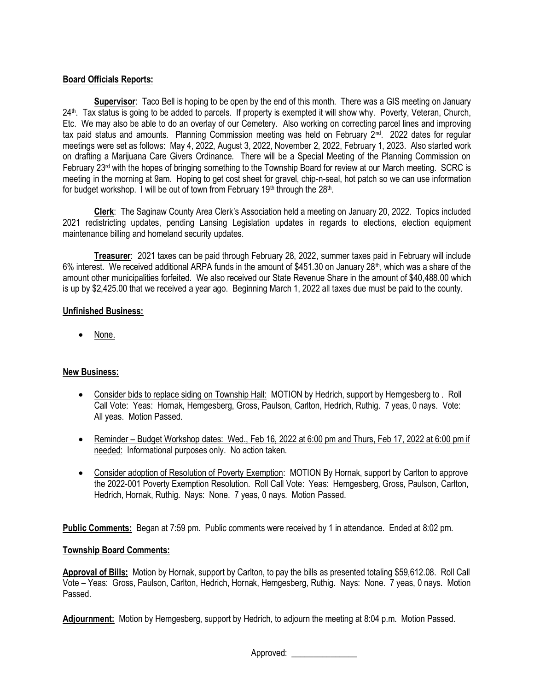# **Board Officials Reports:**

**Supervisor**: Taco Bell is hoping to be open by the end of this month. There was a GIS meeting on January 24<sup>th</sup>. Tax status is going to be added to parcels. If property is exempted it will show why. Poverty, Veteran, Church, Etc. We may also be able to do an overlay of our Cemetery. Also working on correcting parcel lines and improving tax paid status and amounts. Planning Commission meeting was held on February 2<sup>nd</sup>. 2022 dates for regular meetings were set as follows: May 4, 2022, August 3, 2022, November 2, 2022, February 1, 2023. Also started work on drafting a Marijuana Care Givers Ordinance. There will be a Special Meeting of the Planning Commission on February 23<sup>rd</sup> with the hopes of bringing something to the Township Board for review at our March meeting. SCRC is meeting in the morning at 9am. Hoping to get cost sheet for gravel, chip-n-seal, hot patch so we can use information for budget workshop. I will be out of town from February 19<sup>th</sup> through the 28<sup>th</sup>.

**Clerk**: The Saginaw County Area Clerk's Association held a meeting on January 20, 2022. Topics included 2021 redistricting updates, pending Lansing Legislation updates in regards to elections, election equipment maintenance billing and homeland security updates.

**Treasurer**: 2021 taxes can be paid through February 28, 2022, summer taxes paid in February will include 6% interest. We received additional ARPA funds in the amount of \$451.30 on January 28<sup>th</sup>, which was a share of the amount other municipalities forfeited. We also received our State Revenue Share in the amount of \$40,488.00 which is up by \$2,425.00 that we received a year ago. Beginning March 1, 2022 all taxes due must be paid to the county.

### **Unfinished Business:**

• None.

# **New Business:**

- Consider bids to replace siding on Township Hall: MOTION by Hedrich, support by Hemgesberg to . Roll Call Vote: Yeas: Hornak, Hemgesberg, Gross, Paulson, Carlton, Hedrich, Ruthig. 7 yeas, 0 nays. Vote: All yeas. Motion Passed.
- Reminder Budget Workshop dates: Wed., Feb 16, 2022 at 6:00 pm and Thurs, Feb 17, 2022 at 6:00 pm if needed: Informational purposes only. No action taken.
- Consider adoption of Resolution of Poverty Exemption: MOTION By Hornak, support by Carlton to approve the 2022-001 Poverty Exemption Resolution. Roll Call Vote: Yeas: Hemgesberg, Gross, Paulson, Carlton, Hedrich, Hornak, Ruthig. Nays: None. 7 yeas, 0 nays. Motion Passed.

**Public Comments:** Began at 7:59 pm. Public comments were received by 1 in attendance. Ended at 8:02 pm.

### **Township Board Comments:**

**Approval of Bills:** Motion by Hornak, support by Carlton, to pay the bills as presented totaling \$59,612.08. Roll Call Vote – Yeas: Gross, Paulson, Carlton, Hedrich, Hornak, Hemgesberg, Ruthig. Nays: None. 7 yeas, 0 nays. Motion Passed.

**Adjournment:** Motion by Hemgesberg, support by Hedrich, to adjourn the meeting at 8:04 p.m. Motion Passed.

Approved: